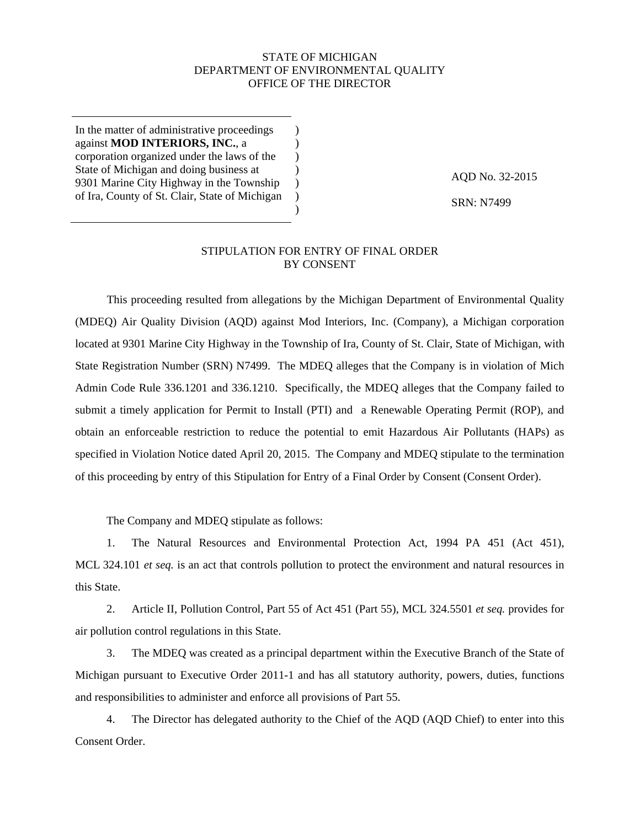# STATE OF MICHIGAN DEPARTMENT OF ENVIRONMENTAL QUALITY OFFICE OF THE DIRECTOR

) ) )  $\lambda$  $\lambda$  $\lambda$ )

In the matter of administrative proceedings against **MOD INTERIORS, INC.**, a corporation organized under the laws of the State of Michigan and doing business at 9301 Marine City Highway in the Township of Ira, County of St. Clair, State of Michigan

AQD No. 32-2015

SRN: N7499

# STIPULATION FOR ENTRY OF FINAL ORDER BY CONSENT

This proceeding resulted from allegations by the Michigan Department of Environmental Quality (MDEQ) Air Quality Division (AQD) against Mod Interiors, Inc. (Company), a Michigan corporation located at 9301 Marine City Highway in the Township of Ira, County of St. Clair, State of Michigan, with State Registration Number (SRN) N7499. The MDEQ alleges that the Company is in violation of Mich Admin Code Rule 336.1201 and 336.1210. Specifically, the MDEQ alleges that the Company failed to submit a timely application for Permit to Install (PTI) and a Renewable Operating Permit (ROP), and obtain an enforceable restriction to reduce the potential to emit Hazardous Air Pollutants (HAPs) as specified in Violation Notice dated April 20, 2015. The Company and MDEQ stipulate to the termination of this proceeding by entry of this Stipulation for Entry of a Final Order by Consent (Consent Order).

The Company and MDEQ stipulate as follows:

1. The Natural Resources and Environmental Protection Act, 1994 PA 451 (Act 451), MCL 324.101 *et seq.* is an act that controls pollution to protect the environment and natural resources in this State.

2. Article II, Pollution Control, Part 55 of Act 451 (Part 55), MCL 324.5501 *et seq.* provides for air pollution control regulations in this State.

3. The MDEQ was created as a principal department within the Executive Branch of the State of Michigan pursuant to Executive Order 2011-1 and has all statutory authority, powers, duties, functions and responsibilities to administer and enforce all provisions of Part 55.

4. The Director has delegated authority to the Chief of the AQD (AQD Chief) to enter into this Consent Order.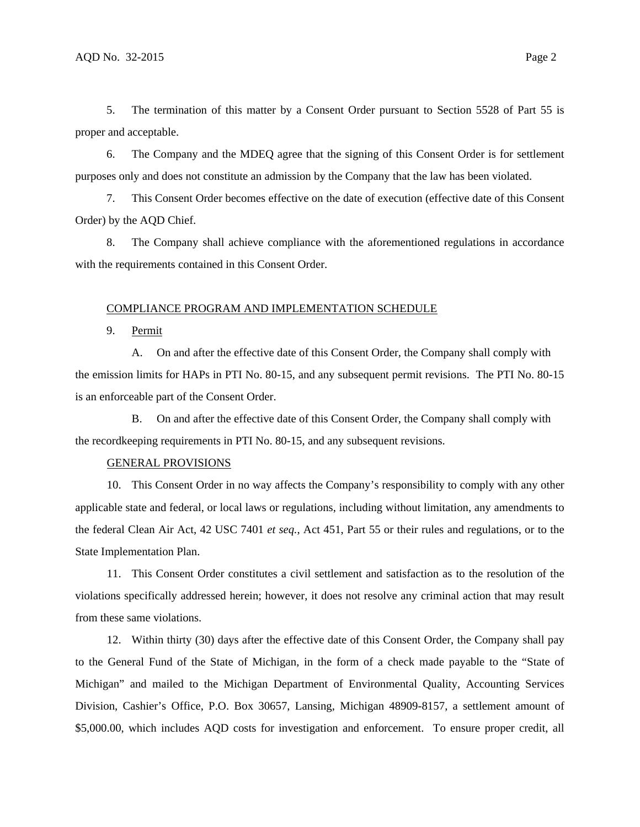5. The termination of this matter by a Consent Order pursuant to Section 5528 of Part 55 is proper and acceptable.

6. The Company and the MDEQ agree that the signing of this Consent Order is for settlement purposes only and does not constitute an admission by the Company that the law has been violated.

7. This Consent Order becomes effective on the date of execution (effective date of this Consent Order) by the AQD Chief.

8. The Company shall achieve compliance with the aforementioned regulations in accordance with the requirements contained in this Consent Order.

#### COMPLIANCE PROGRAM AND IMPLEMENTATION SCHEDULE

9. Permit

A. On and after the effective date of this Consent Order, the Company shall comply with the emission limits for HAPs in PTI No. 80-15, and any subsequent permit revisions. The PTI No. 80-15 is an enforceable part of the Consent Order.

B. On and after the effective date of this Consent Order, the Company shall comply with the recordkeeping requirements in PTI No. 80-15, and any subsequent revisions.

#### GENERAL PROVISIONS

10. This Consent Order in no way affects the Company's responsibility to comply with any other applicable state and federal, or local laws or regulations, including without limitation, any amendments to the federal Clean Air Act, 42 USC 7401 *et seq.*, Act 451, Part 55 or their rules and regulations, or to the State Implementation Plan.

11. This Consent Order constitutes a civil settlement and satisfaction as to the resolution of the violations specifically addressed herein; however, it does not resolve any criminal action that may result from these same violations.

12. Within thirty (30) days after the effective date of this Consent Order, the Company shall pay to the General Fund of the State of Michigan, in the form of a check made payable to the "State of Michigan" and mailed to the Michigan Department of Environmental Quality, Accounting Services Division, Cashier's Office, P.O. Box 30657, Lansing, Michigan 48909-8157, a settlement amount of \$5,000.00, which includes AQD costs for investigation and enforcement. To ensure proper credit, all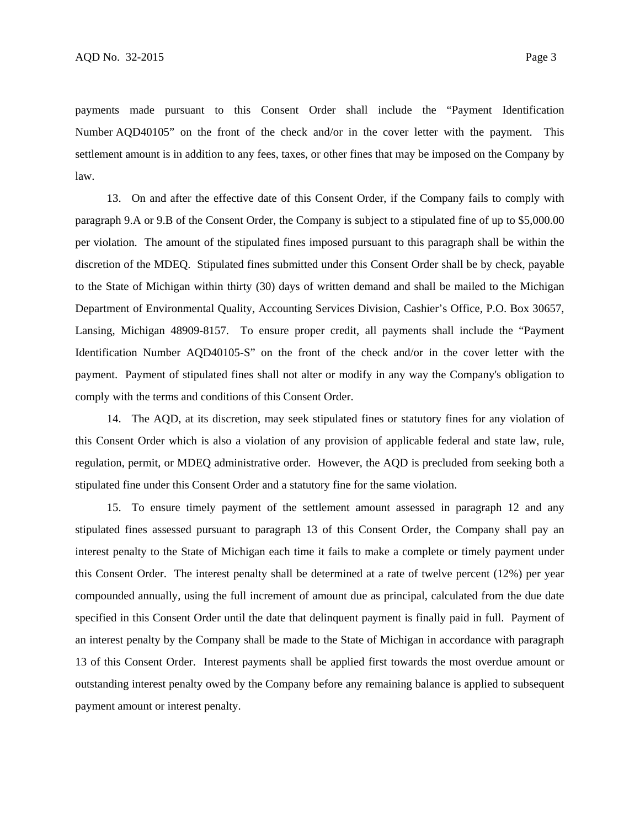payments made pursuant to this Consent Order shall include the "Payment Identification Number AQD40105" on the front of the check and/or in the cover letter with the payment. This settlement amount is in addition to any fees, taxes, or other fines that may be imposed on the Company by law.

13. On and after the effective date of this Consent Order, if the Company fails to comply with paragraph 9.A or 9.B of the Consent Order, the Company is subject to a stipulated fine of up to \$5,000.00 per violation. The amount of the stipulated fines imposed pursuant to this paragraph shall be within the discretion of the MDEQ. Stipulated fines submitted under this Consent Order shall be by check, payable to the State of Michigan within thirty (30) days of written demand and shall be mailed to the Michigan Department of Environmental Quality, Accounting Services Division, Cashier's Office, P.O. Box 30657, Lansing, Michigan 48909-8157. To ensure proper credit, all payments shall include the "Payment Identification Number AQD40105-S" on the front of the check and/or in the cover letter with the payment. Payment of stipulated fines shall not alter or modify in any way the Company's obligation to comply with the terms and conditions of this Consent Order.

14. The AQD, at its discretion, may seek stipulated fines or statutory fines for any violation of this Consent Order which is also a violation of any provision of applicable federal and state law, rule, regulation, permit, or MDEQ administrative order. However, the AQD is precluded from seeking both a stipulated fine under this Consent Order and a statutory fine for the same violation.

15. To ensure timely payment of the settlement amount assessed in paragraph 12 and any stipulated fines assessed pursuant to paragraph 13 of this Consent Order, the Company shall pay an interest penalty to the State of Michigan each time it fails to make a complete or timely payment under this Consent Order. The interest penalty shall be determined at a rate of twelve percent (12%) per year compounded annually, using the full increment of amount due as principal, calculated from the due date specified in this Consent Order until the date that delinquent payment is finally paid in full. Payment of an interest penalty by the Company shall be made to the State of Michigan in accordance with paragraph 13 of this Consent Order. Interest payments shall be applied first towards the most overdue amount or outstanding interest penalty owed by the Company before any remaining balance is applied to subsequent payment amount or interest penalty.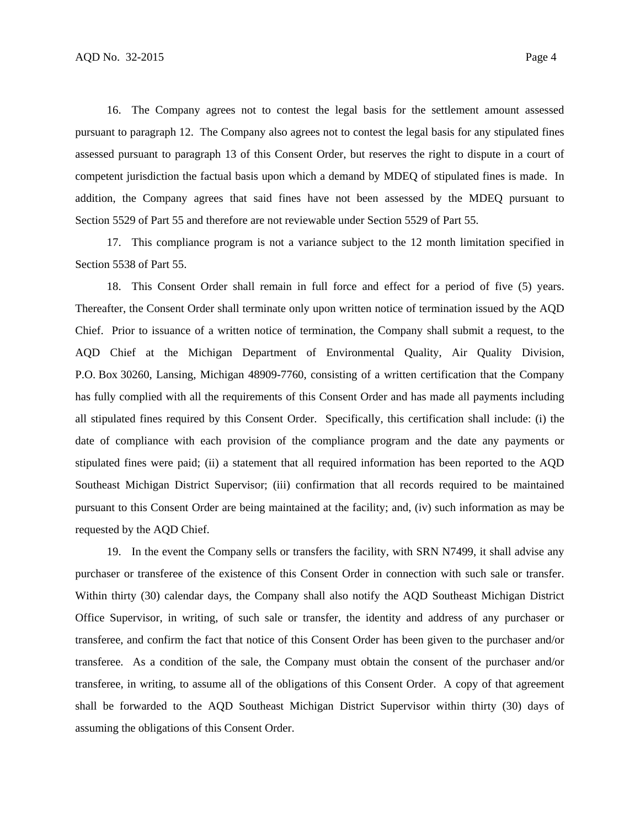16. The Company agrees not to contest the legal basis for the settlement amount assessed pursuant to paragraph 12. The Company also agrees not to contest the legal basis for any stipulated fines assessed pursuant to paragraph 13 of this Consent Order, but reserves the right to dispute in a court of competent jurisdiction the factual basis upon which a demand by MDEQ of stipulated fines is made. In addition, the Company agrees that said fines have not been assessed by the MDEQ pursuant to Section 5529 of Part 55 and therefore are not reviewable under Section 5529 of Part 55.

17. This compliance program is not a variance subject to the 12 month limitation specified in Section 5538 of Part 55.

18. This Consent Order shall remain in full force and effect for a period of five (5) years. Thereafter, the Consent Order shall terminate only upon written notice of termination issued by the AQD Chief. Prior to issuance of a written notice of termination, the Company shall submit a request, to the AQD Chief at the Michigan Department of Environmental Quality, Air Quality Division, P.O. Box 30260, Lansing, Michigan 48909-7760, consisting of a written certification that the Company has fully complied with all the requirements of this Consent Order and has made all payments including all stipulated fines required by this Consent Order. Specifically, this certification shall include: (i) the date of compliance with each provision of the compliance program and the date any payments or stipulated fines were paid; (ii) a statement that all required information has been reported to the AQD Southeast Michigan District Supervisor; (iii) confirmation that all records required to be maintained pursuant to this Consent Order are being maintained at the facility; and, (iv) such information as may be requested by the AQD Chief.

19. In the event the Company sells or transfers the facility, with SRN N7499, it shall advise any purchaser or transferee of the existence of this Consent Order in connection with such sale or transfer. Within thirty (30) calendar days, the Company shall also notify the AQD Southeast Michigan District Office Supervisor, in writing, of such sale or transfer, the identity and address of any purchaser or transferee, and confirm the fact that notice of this Consent Order has been given to the purchaser and/or transferee. As a condition of the sale, the Company must obtain the consent of the purchaser and/or transferee, in writing, to assume all of the obligations of this Consent Order. A copy of that agreement shall be forwarded to the AQD Southeast Michigan District Supervisor within thirty (30) days of assuming the obligations of this Consent Order.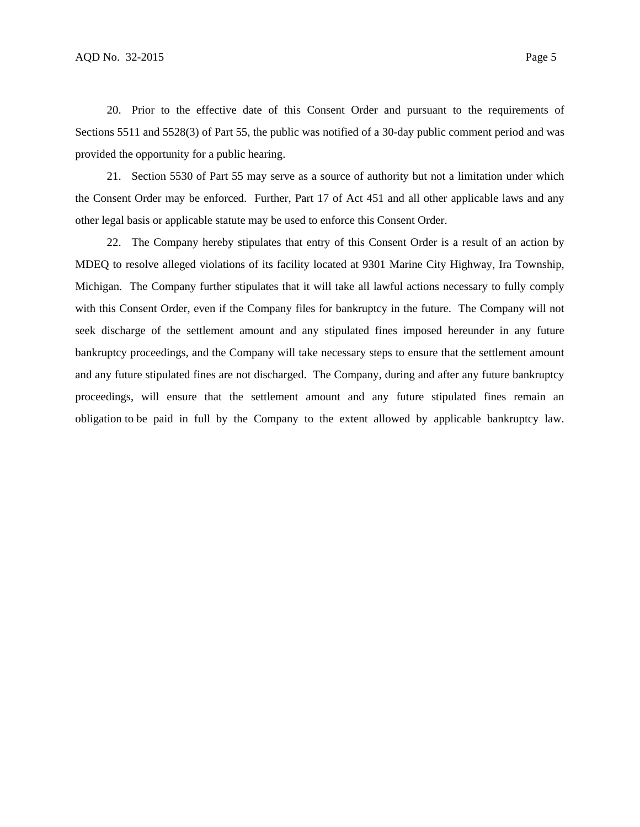20. Prior to the effective date of this Consent Order and pursuant to the requirements of Sections 5511 and 5528(3) of Part 55, the public was notified of a 30-day public comment period and was provided the opportunity for a public hearing.

21. Section 5530 of Part 55 may serve as a source of authority but not a limitation under which the Consent Order may be enforced. Further, Part 17 of Act 451 and all other applicable laws and any other legal basis or applicable statute may be used to enforce this Consent Order.

22. The Company hereby stipulates that entry of this Consent Order is a result of an action by MDEQ to resolve alleged violations of its facility located at 9301 Marine City Highway, Ira Township, Michigan. The Company further stipulates that it will take all lawful actions necessary to fully comply with this Consent Order, even if the Company files for bankruptcy in the future. The Company will not seek discharge of the settlement amount and any stipulated fines imposed hereunder in any future bankruptcy proceedings, and the Company will take necessary steps to ensure that the settlement amount and any future stipulated fines are not discharged. The Company, during and after any future bankruptcy proceedings, will ensure that the settlement amount and any future stipulated fines remain an obligation to be paid in full by the Company to the extent allowed by applicable bankruptcy law.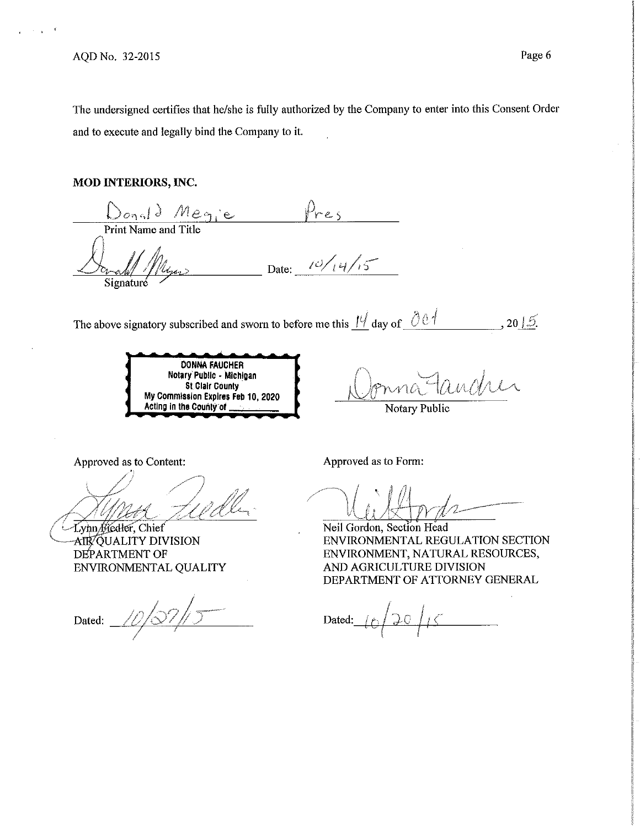The undersigned certifies that he/she is fully authorized by the Company to enter into this Consent Order and to execute and legally bind the Company to it.

### **MOD INTERIORS, INC.**

 $\frac{\sum_{o_1} d_o \cdot p_o}{\Pr\{\text{int Name and Title}}$ Donald Megie Pres<br>Print Name and Title<br>Example Plyers Date: <sup>10/14/15</sup>

The above signatory subscribed and sworn to before me this  $\frac{11}{4}$  day of  $\frac{0.01}{4}$  ..., 20 | 5.

**DONNA FAUCHER Notary Public** - **Michigan St Clair County My Commission Expires Feb 10, 2020 Acting** In **tha County or** 

 $\mathcal{P}$ fonna Tancher

Notary Public

Approved as to Content:

Lynn Hedler, Chief AIR QUALITY DIVISION DEPARTMENT OF ENVIRONMENTAL QUALITY

Dated:  $10/37/$ 

 $\gamma$  ,  $\mu$  ,  $\mu$ In<br>Ind  $\bigcup \bigcup \bigcup \mathcal{H}$ 

Approved as to Form:

Neil Gordon, Section Head ENVIRONMENTAL REGULATION SECTION ENVIRONMENT, NATURAL RESOURCES, AND AGRICULTURE DIVISION DEPARTMENT OF ATTORNEY GENERAL

Dated:  $|f(t)|$ ' r'